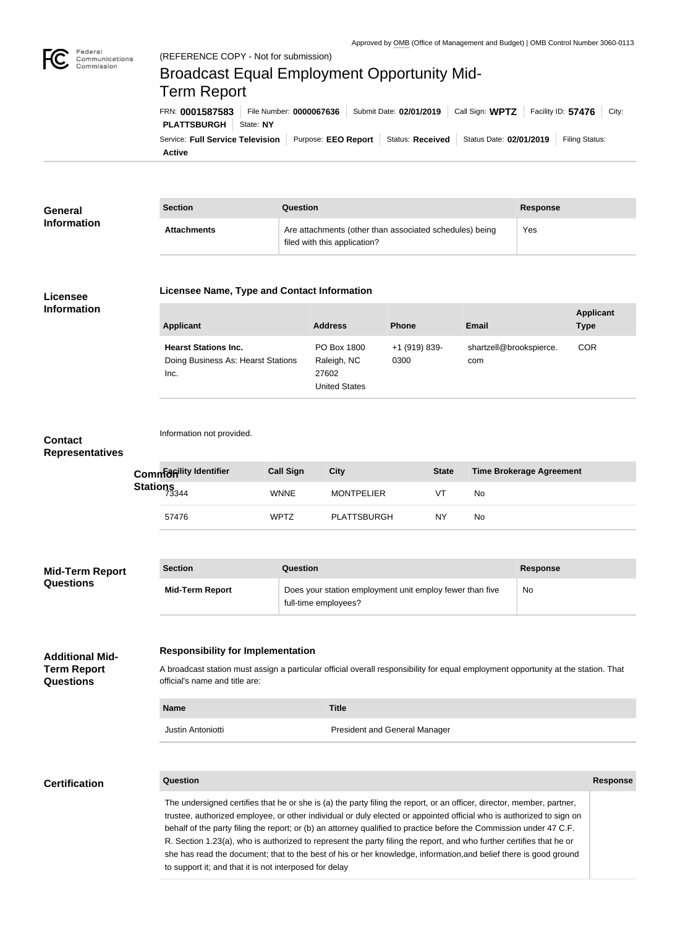

Federal

Commission

# Service: Full Service Television | Purpose: EEO Report | Status: Received | Status Date: 02/01/2019 | Filing Status: **PLATTSBURGH** | State: NY FRN: **0001587583** File Number: **0000067636** Submit Date: **02/01/2019** Call Sign: **WPTZ** Facility ID: **57476** City: (REFERENCE COPY - Not for submission) Broadcast Equal Employment Opportunity Mid-Term Report

**Active**

| General            | <b>Section</b>     | Question                                                                                | <b>Response</b> |
|--------------------|--------------------|-----------------------------------------------------------------------------------------|-----------------|
| <b>Information</b> | <b>Attachments</b> | Are attachments (other than associated schedules) being<br>filed with this application? | Yes             |

#### **Licensee Information**

| <b>Applicant</b>                                                          | <b>Address</b>                                       | <b>Phone</b>          | <b>Email</b>                   | <b>Applicant</b><br><b>Type</b> |
|---------------------------------------------------------------------------|------------------------------------------------------|-----------------------|--------------------------------|---------------------------------|
| <b>Hearst Stations Inc.</b><br>Doing Business As: Hearst Stations<br>Inc. | PO Box 1800<br>Raleigh, NC<br>27602<br>United States | +1 (919) 839-<br>0300 | shartzell@brookspierce.<br>com | <b>COR</b>                      |

## **Contact Representatives**

Information not provided.

**Licensee Name, Type and Contact Information**

|                   | Common dividentifier | <b>Call Sign</b> | City              | <b>State</b> | <b>Time Brokerage Agreement</b> |
|-------------------|----------------------|------------------|-------------------|--------------|---------------------------------|
| Stations<br>73344 |                      | <b>WNNE</b>      | <b>MONTPELIER</b> | VT           | No.                             |
|                   | 57476                | <b>WPTZ</b>      | PLATTSBURGH       | NY           | No.                             |

| <b>Mid-Term Report</b><br><b>Questions</b> | <b>Section</b>         | Question                                                                         | <b>Response</b> |
|--------------------------------------------|------------------------|----------------------------------------------------------------------------------|-----------------|
|                                            | <b>Mid-Term Report</b> | Does your station employment unit employ fewer than five<br>full-time employees? | <b>No</b>       |

#### **Additional Mid-Term Report Questions**

#### **Responsibility for Implementation**

A broadcast station must assign a particular official overall responsibility for equal employment opportunity at the station. That official's name and title are:

# **Name Title** Justin Antoniotti **President and General Manager**

### **Certification**

#### **Question Response**

The undersigned certifies that he or she is (a) the party filing the report, or an officer, director, member, partner, trustee, authorized employee, or other individual or duly elected or appointed official who is authorized to sign on behalf of the party filing the report; or (b) an attorney qualified to practice before the Commission under 47 C.F. R. Section 1.23(a), who is authorized to represent the party filing the report, and who further certifies that he or she has read the document; that to the best of his or her knowledge, information,and belief there is good ground to support it; and that it is not interposed for delay